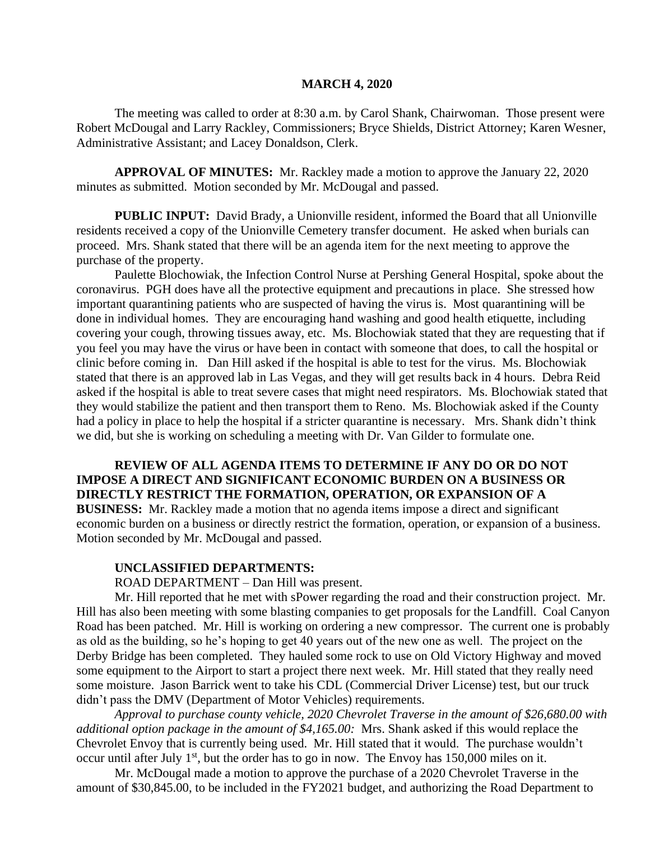#### **MARCH 4, 2020**

The meeting was called to order at 8:30 a.m. by Carol Shank, Chairwoman. Those present were Robert McDougal and Larry Rackley, Commissioners; Bryce Shields, District Attorney; Karen Wesner, Administrative Assistant; and Lacey Donaldson, Clerk.

**APPROVAL OF MINUTES:** Mr. Rackley made a motion to approve the January 22, 2020 minutes as submitted. Motion seconded by Mr. McDougal and passed.

 **PUBLIC INPUT:** David Brady, a Unionville resident, informed the Board that all Unionville residents received a copy of the Unionville Cemetery transfer document. He asked when burials can proceed. Mrs. Shank stated that there will be an agenda item for the next meeting to approve the purchase of the property.

Paulette Blochowiak, the Infection Control Nurse at Pershing General Hospital, spoke about the coronavirus. PGH does have all the protective equipment and precautions in place. She stressed how important quarantining patients who are suspected of having the virus is. Most quarantining will be done in individual homes. They are encouraging hand washing and good health etiquette, including covering your cough, throwing tissues away, etc. Ms. Blochowiak stated that they are requesting that if you feel you may have the virus or have been in contact with someone that does, to call the hospital or clinic before coming in. Dan Hill asked if the hospital is able to test for the virus. Ms. Blochowiak stated that there is an approved lab in Las Vegas, and they will get results back in 4 hours. Debra Reid asked if the hospital is able to treat severe cases that might need respirators. Ms. Blochowiak stated that they would stabilize the patient and then transport them to Reno. Ms. Blochowiak asked if the County had a policy in place to help the hospital if a stricter quarantine is necessary. Mrs. Shank didn't think we did, but she is working on scheduling a meeting with Dr. Van Gilder to formulate one.

**REVIEW OF ALL AGENDA ITEMS TO DETERMINE IF ANY DO OR DO NOT IMPOSE A DIRECT AND SIGNIFICANT ECONOMIC BURDEN ON A BUSINESS OR DIRECTLY RESTRICT THE FORMATION, OPERATION, OR EXPANSION OF A BUSINESS:** Mr. Rackley made a motion that no agenda items impose a direct and significant

economic burden on a business or directly restrict the formation, operation, or expansion of a business. Motion seconded by Mr. McDougal and passed.

#### **UNCLASSIFIED DEPARTMENTS:**

ROAD DEPARTMENT – Dan Hill was present.

Mr. Hill reported that he met with sPower regarding the road and their construction project. Mr. Hill has also been meeting with some blasting companies to get proposals for the Landfill. Coal Canyon Road has been patched. Mr. Hill is working on ordering a new compressor. The current one is probably as old as the building, so he's hoping to get 40 years out of the new one as well. The project on the Derby Bridge has been completed. They hauled some rock to use on Old Victory Highway and moved some equipment to the Airport to start a project there next week. Mr. Hill stated that they really need some moisture. Jason Barrick went to take his CDL (Commercial Driver License) test, but our truck didn't pass the DMV (Department of Motor Vehicles) requirements.

*Approval to purchase county vehicle, 2020 Chevrolet Traverse in the amount of \$26,680.00 with additional option package in the amount of \$4,165.00:* Mrs. Shank asked if this would replace the Chevrolet Envoy that is currently being used. Mr. Hill stated that it would. The purchase wouldn't occur until after July  $1<sup>st</sup>$ , but the order has to go in now. The Envoy has 150,000 miles on it.

Mr. McDougal made a motion to approve the purchase of a 2020 Chevrolet Traverse in the amount of \$30,845.00, to be included in the FY2021 budget, and authorizing the Road Department to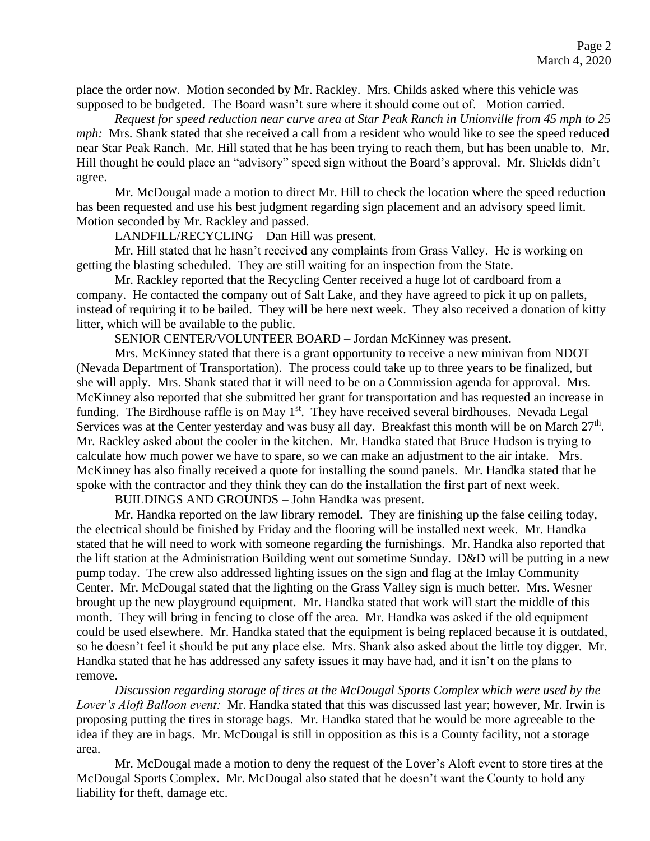place the order now. Motion seconded by Mr. Rackley. Mrs. Childs asked where this vehicle was supposed to be budgeted. The Board wasn't sure where it should come out of. Motion carried.

*Request for speed reduction near curve area at Star Peak Ranch in Unionville from 45 mph to 25 mph*: Mrs. Shank stated that she received a call from a resident who would like to see the speed reduced near Star Peak Ranch. Mr. Hill stated that he has been trying to reach them, but has been unable to. Mr. Hill thought he could place an "advisory" speed sign without the Board's approval. Mr. Shields didn't agree.

Mr. McDougal made a motion to direct Mr. Hill to check the location where the speed reduction has been requested and use his best judgment regarding sign placement and an advisory speed limit. Motion seconded by Mr. Rackley and passed.

LANDFILL/RECYCLING – Dan Hill was present.

Mr. Hill stated that he hasn't received any complaints from Grass Valley. He is working on getting the blasting scheduled. They are still waiting for an inspection from the State.

Mr. Rackley reported that the Recycling Center received a huge lot of cardboard from a company. He contacted the company out of Salt Lake, and they have agreed to pick it up on pallets, instead of requiring it to be bailed. They will be here next week. They also received a donation of kitty litter, which will be available to the public.

SENIOR CENTER/VOLUNTEER BOARD – Jordan McKinney was present.

Mrs. McKinney stated that there is a grant opportunity to receive a new minivan from NDOT (Nevada Department of Transportation). The process could take up to three years to be finalized, but she will apply. Mrs. Shank stated that it will need to be on a Commission agenda for approval. Mrs. McKinney also reported that she submitted her grant for transportation and has requested an increase in funding. The Birdhouse raffle is on May 1<sup>st</sup>. They have received several birdhouses. Nevada Legal Services was at the Center yesterday and was busy all day. Breakfast this month will be on March  $27<sup>th</sup>$ . Mr. Rackley asked about the cooler in the kitchen. Mr. Handka stated that Bruce Hudson is trying to calculate how much power we have to spare, so we can make an adjustment to the air intake. Mrs. McKinney has also finally received a quote for installing the sound panels. Mr. Handka stated that he spoke with the contractor and they think they can do the installation the first part of next week.

BUILDINGS AND GROUNDS – John Handka was present.

Mr. Handka reported on the law library remodel. They are finishing up the false ceiling today, the electrical should be finished by Friday and the flooring will be installed next week. Mr. Handka stated that he will need to work with someone regarding the furnishings. Mr. Handka also reported that the lift station at the Administration Building went out sometime Sunday. D&D will be putting in a new pump today. The crew also addressed lighting issues on the sign and flag at the Imlay Community Center. Mr. McDougal stated that the lighting on the Grass Valley sign is much better. Mrs. Wesner brought up the new playground equipment. Mr. Handka stated that work will start the middle of this month. They will bring in fencing to close off the area. Mr. Handka was asked if the old equipment could be used elsewhere. Mr. Handka stated that the equipment is being replaced because it is outdated, so he doesn't feel it should be put any place else. Mrs. Shank also asked about the little toy digger. Mr. Handka stated that he has addressed any safety issues it may have had, and it isn't on the plans to remove.

*Discussion regarding storage of tires at the McDougal Sports Complex which were used by the Lover's Aloft Balloon event:* Mr. Handka stated that this was discussed last year; however, Mr. Irwin is proposing putting the tires in storage bags. Mr. Handka stated that he would be more agreeable to the idea if they are in bags. Mr. McDougal is still in opposition as this is a County facility, not a storage area.

Mr. McDougal made a motion to deny the request of the Lover's Aloft event to store tires at the McDougal Sports Complex. Mr. McDougal also stated that he doesn't want the County to hold any liability for theft, damage etc.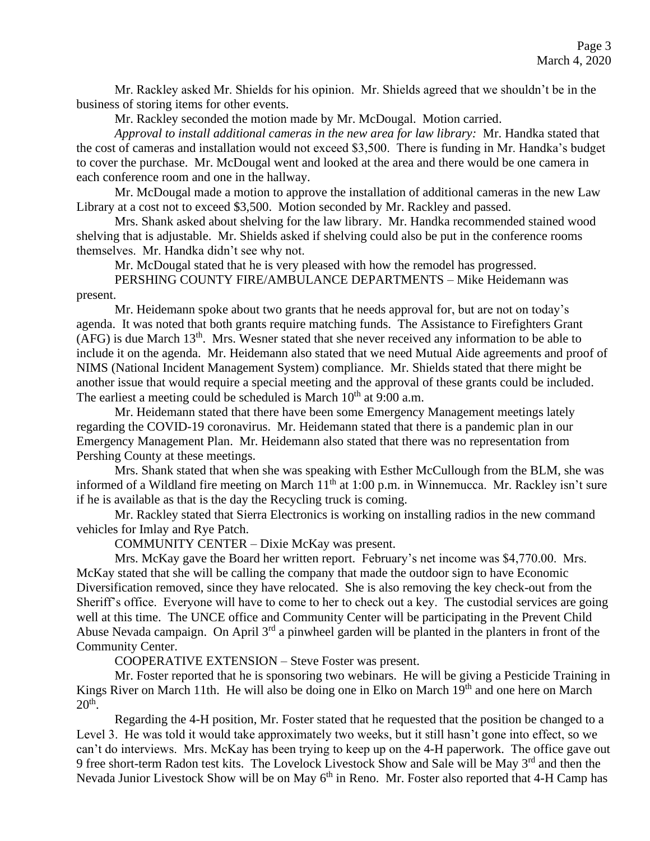Mr. Rackley asked Mr. Shields for his opinion. Mr. Shields agreed that we shouldn't be in the business of storing items for other events.

Mr. Rackley seconded the motion made by Mr. McDougal. Motion carried.

*Approval to install additional cameras in the new area for law library:* Mr. Handka stated that the cost of cameras and installation would not exceed \$3,500. There is funding in Mr. Handka's budget to cover the purchase. Mr. McDougal went and looked at the area and there would be one camera in each conference room and one in the hallway.

Mr. McDougal made a motion to approve the installation of additional cameras in the new Law Library at a cost not to exceed \$3,500. Motion seconded by Mr. Rackley and passed.

Mrs. Shank asked about shelving for the law library. Mr. Handka recommended stained wood shelving that is adjustable. Mr. Shields asked if shelving could also be put in the conference rooms themselves. Mr. Handka didn't see why not.

Mr. McDougal stated that he is very pleased with how the remodel has progressed.

PERSHING COUNTY FIRE/AMBULANCE DEPARTMENTS – Mike Heidemann was present.

Mr. Heidemann spoke about two grants that he needs approval for, but are not on today's agenda. It was noted that both grants require matching funds. The Assistance to Firefighters Grant  $(AFG)$  is due March  $13<sup>th</sup>$ . Mrs. Wesner stated that she never received any information to be able to include it on the agenda. Mr. Heidemann also stated that we need Mutual Aide agreements and proof of NIMS (National Incident Management System) compliance. Mr. Shields stated that there might be another issue that would require a special meeting and the approval of these grants could be included. The earliest a meeting could be scheduled is March  $10<sup>th</sup>$  at 9:00 a.m.

Mr. Heidemann stated that there have been some Emergency Management meetings lately regarding the COVID-19 coronavirus. Mr. Heidemann stated that there is a pandemic plan in our Emergency Management Plan. Mr. Heidemann also stated that there was no representation from Pershing County at these meetings.

Mrs. Shank stated that when she was speaking with Esther McCullough from the BLM, she was informed of a Wildland fire meeting on March  $11<sup>th</sup>$  at 1:00 p.m. in Winnemucca. Mr. Rackley isn't sure if he is available as that is the day the Recycling truck is coming.

Mr. Rackley stated that Sierra Electronics is working on installing radios in the new command vehicles for Imlay and Rye Patch.

COMMUNITY CENTER – Dixie McKay was present.

Mrs. McKay gave the Board her written report. February's net income was \$4,770.00. Mrs. McKay stated that she will be calling the company that made the outdoor sign to have Economic Diversification removed, since they have relocated. She is also removing the key check-out from the Sheriff's office. Everyone will have to come to her to check out a key. The custodial services are going well at this time. The UNCE office and Community Center will be participating in the Prevent Child Abuse Nevada campaign. On April  $3<sup>rd</sup>$  a pinwheel garden will be planted in the planters in front of the Community Center.

COOPERATIVE EXTENSION – Steve Foster was present.

Mr. Foster reported that he is sponsoring two webinars. He will be giving a Pesticide Training in Kings River on March 11th. He will also be doing one in Elko on March  $19<sup>th</sup>$  and one here on March  $20<sup>th</sup>$ .

Regarding the 4-H position, Mr. Foster stated that he requested that the position be changed to a Level 3. He was told it would take approximately two weeks, but it still hasn't gone into effect, so we can't do interviews. Mrs. McKay has been trying to keep up on the 4-H paperwork. The office gave out 9 free short-term Radon test kits. The Lovelock Livestock Show and Sale will be May 3<sup>rd</sup> and then the Nevada Junior Livestock Show will be on May 6<sup>th</sup> in Reno. Mr. Foster also reported that 4-H Camp has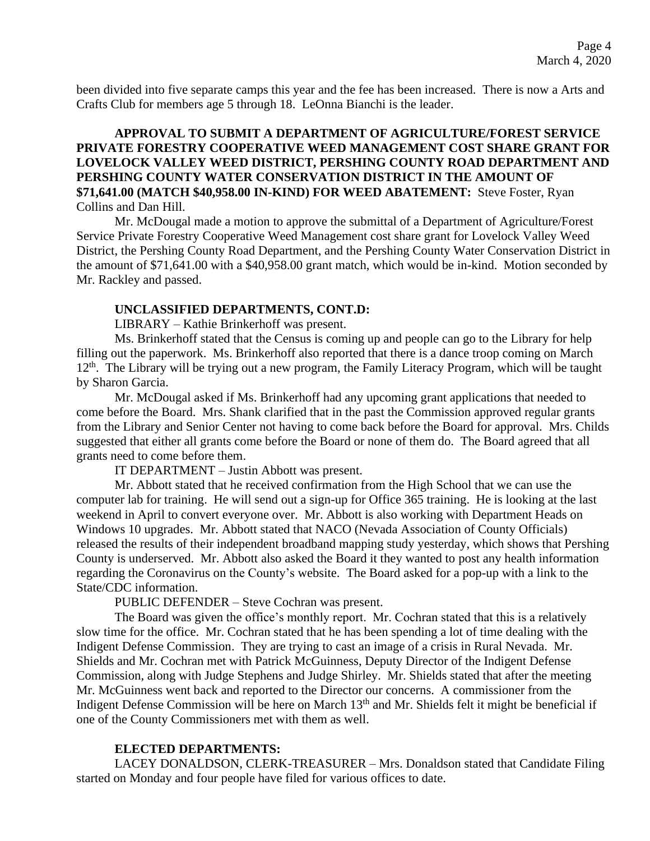been divided into five separate camps this year and the fee has been increased. There is now a Arts and Crafts Club for members age 5 through 18. LeOnna Bianchi is the leader.

## **APPROVAL TO SUBMIT A DEPARTMENT OF AGRICULTURE/FOREST SERVICE PRIVATE FORESTRY COOPERATIVE WEED MANAGEMENT COST SHARE GRANT FOR LOVELOCK VALLEY WEED DISTRICT, PERSHING COUNTY ROAD DEPARTMENT AND PERSHING COUNTY WATER CONSERVATION DISTRICT IN THE AMOUNT OF \$71,641.00 (MATCH \$40,958.00 IN-KIND) FOR WEED ABATEMENT:** Steve Foster, Ryan Collins and Dan Hill.

Mr. McDougal made a motion to approve the submittal of a Department of Agriculture/Forest Service Private Forestry Cooperative Weed Management cost share grant for Lovelock Valley Weed District, the Pershing County Road Department, and the Pershing County Water Conservation District in the amount of \$71,641.00 with a \$40,958.00 grant match, which would be in-kind. Motion seconded by Mr. Rackley and passed.

### **UNCLASSIFIED DEPARTMENTS, CONT.D:**

LIBRARY – Kathie Brinkerhoff was present.

Ms. Brinkerhoff stated that the Census is coming up and people can go to the Library for help filling out the paperwork. Ms. Brinkerhoff also reported that there is a dance troop coming on March 12<sup>th</sup>. The Library will be trying out a new program, the Family Literacy Program, which will be taught by Sharon Garcia.

Mr. McDougal asked if Ms. Brinkerhoff had any upcoming grant applications that needed to come before the Board. Mrs. Shank clarified that in the past the Commission approved regular grants from the Library and Senior Center not having to come back before the Board for approval. Mrs. Childs suggested that either all grants come before the Board or none of them do. The Board agreed that all grants need to come before them.

IT DEPARTMENT – Justin Abbott was present.

Mr. Abbott stated that he received confirmation from the High School that we can use the computer lab for training. He will send out a sign-up for Office 365 training. He is looking at the last weekend in April to convert everyone over. Mr. Abbott is also working with Department Heads on Windows 10 upgrades. Mr. Abbott stated that NACO (Nevada Association of County Officials) released the results of their independent broadband mapping study yesterday, which shows that Pershing County is underserved. Mr. Abbott also asked the Board it they wanted to post any health information regarding the Coronavirus on the County's website. The Board asked for a pop-up with a link to the State/CDC information.

PUBLIC DEFENDER – Steve Cochran was present.

The Board was given the office's monthly report. Mr. Cochran stated that this is a relatively slow time for the office. Mr. Cochran stated that he has been spending a lot of time dealing with the Indigent Defense Commission. They are trying to cast an image of a crisis in Rural Nevada. Mr. Shields and Mr. Cochran met with Patrick McGuinness, Deputy Director of the Indigent Defense Commission, along with Judge Stephens and Judge Shirley. Mr. Shields stated that after the meeting Mr. McGuinness went back and reported to the Director our concerns. A commissioner from the Indigent Defense Commission will be here on March 13<sup>th</sup> and Mr. Shields felt it might be beneficial if one of the County Commissioners met with them as well.

#### **ELECTED DEPARTMENTS:**

LACEY DONALDSON, CLERK-TREASURER – Mrs. Donaldson stated that Candidate Filing started on Monday and four people have filed for various offices to date.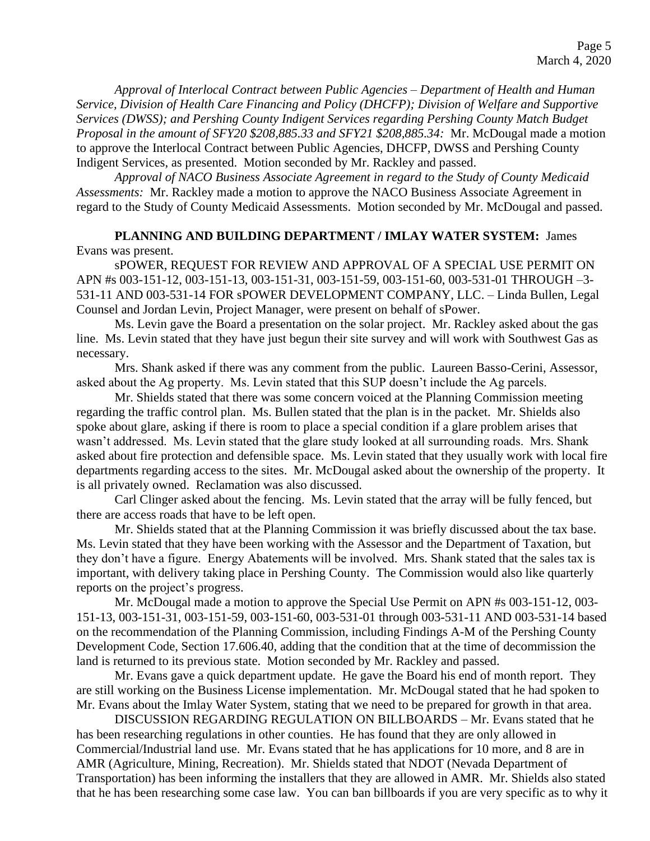*Approval of Interlocal Contract between Public Agencies – Department of Health and Human Service, Division of Health Care Financing and Policy (DHCFP); Division of Welfare and Supportive Services (DWSS); and Pershing County Indigent Services regarding Pershing County Match Budget Proposal in the amount of SFY20 \$208,885.33 and SFY21 \$208,885.34:* Mr. McDougal made a motion to approve the Interlocal Contract between Public Agencies, DHCFP, DWSS and Pershing County Indigent Services, as presented. Motion seconded by Mr. Rackley and passed.

*Approval of NACO Business Associate Agreement in regard to the Study of County Medicaid Assessments:* Mr. Rackley made a motion to approve the NACO Business Associate Agreement in regard to the Study of County Medicaid Assessments. Motion seconded by Mr. McDougal and passed.

**PLANNING AND BUILDING DEPARTMENT / IMLAY WATER SYSTEM:** James Evans was present.

sPOWER, REQUEST FOR REVIEW AND APPROVAL OF A SPECIAL USE PERMIT ON APN #s 003-151-12, 003-151-13, 003-151-31, 003-151-59, 003-151-60, 003-531-01 THROUGH –3- 531-11 AND 003-531-14 FOR sPOWER DEVELOPMENT COMPANY, LLC. – Linda Bullen, Legal Counsel and Jordan Levin, Project Manager, were present on behalf of sPower.

Ms. Levin gave the Board a presentation on the solar project. Mr. Rackley asked about the gas line. Ms. Levin stated that they have just begun their site survey and will work with Southwest Gas as necessary.

Mrs. Shank asked if there was any comment from the public. Laureen Basso-Cerini, Assessor, asked about the Ag property. Ms. Levin stated that this SUP doesn't include the Ag parcels.

Mr. Shields stated that there was some concern voiced at the Planning Commission meeting regarding the traffic control plan. Ms. Bullen stated that the plan is in the packet. Mr. Shields also spoke about glare, asking if there is room to place a special condition if a glare problem arises that wasn't addressed. Ms. Levin stated that the glare study looked at all surrounding roads. Mrs. Shank asked about fire protection and defensible space. Ms. Levin stated that they usually work with local fire departments regarding access to the sites. Mr. McDougal asked about the ownership of the property. It is all privately owned. Reclamation was also discussed.

Carl Clinger asked about the fencing. Ms. Levin stated that the array will be fully fenced, but there are access roads that have to be left open.

Mr. Shields stated that at the Planning Commission it was briefly discussed about the tax base. Ms. Levin stated that they have been working with the Assessor and the Department of Taxation, but they don't have a figure. Energy Abatements will be involved. Mrs. Shank stated that the sales tax is important, with delivery taking place in Pershing County. The Commission would also like quarterly reports on the project's progress.

Mr. McDougal made a motion to approve the Special Use Permit on APN #s 003-151-12, 003- 151-13, 003-151-31, 003-151-59, 003-151-60, 003-531-01 through 003-531-11 AND 003-531-14 based on the recommendation of the Planning Commission, including Findings A-M of the Pershing County Development Code, Section 17.606.40, adding that the condition that at the time of decommission the land is returned to its previous state. Motion seconded by Mr. Rackley and passed.

Mr. Evans gave a quick department update. He gave the Board his end of month report. They are still working on the Business License implementation. Mr. McDougal stated that he had spoken to Mr. Evans about the Imlay Water System, stating that we need to be prepared for growth in that area.

DISCUSSION REGARDING REGULATION ON BILLBOARDS – Mr. Evans stated that he has been researching regulations in other counties. He has found that they are only allowed in Commercial/Industrial land use. Mr. Evans stated that he has applications for 10 more, and 8 are in AMR (Agriculture, Mining, Recreation). Mr. Shields stated that NDOT (Nevada Department of Transportation) has been informing the installers that they are allowed in AMR. Mr. Shields also stated that he has been researching some case law. You can ban billboards if you are very specific as to why it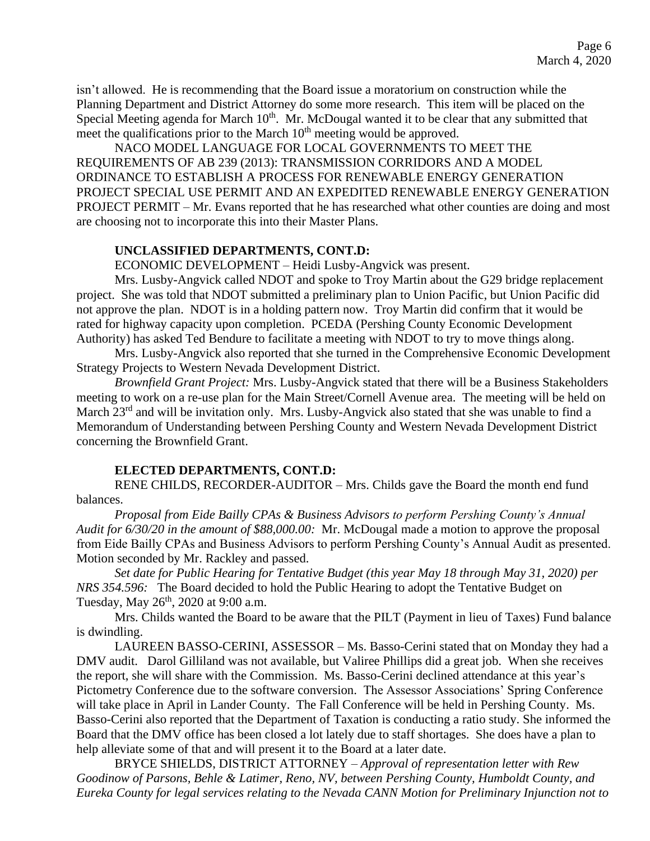isn't allowed. He is recommending that the Board issue a moratorium on construction while the Planning Department and District Attorney do some more research. This item will be placed on the Special Meeting agenda for March 10<sup>th</sup>. Mr. McDougal wanted it to be clear that any submitted that meet the qualifications prior to the March  $10<sup>th</sup>$  meeting would be approved.

NACO MODEL LANGUAGE FOR LOCAL GOVERNMENTS TO MEET THE REQUIREMENTS OF AB 239 (2013): TRANSMISSION CORRIDORS AND A MODEL ORDINANCE TO ESTABLISH A PROCESS FOR RENEWABLE ENERGY GENERATION PROJECT SPECIAL USE PERMIT AND AN EXPEDITED RENEWABLE ENERGY GENERATION PROJECT PERMIT – Mr. Evans reported that he has researched what other counties are doing and most are choosing not to incorporate this into their Master Plans.

#### **UNCLASSIFIED DEPARTMENTS, CONT.D:**

ECONOMIC DEVELOPMENT – Heidi Lusby-Angvick was present.

Mrs. Lusby-Angvick called NDOT and spoke to Troy Martin about the G29 bridge replacement project. She was told that NDOT submitted a preliminary plan to Union Pacific, but Union Pacific did not approve the plan. NDOT is in a holding pattern now. Troy Martin did confirm that it would be rated for highway capacity upon completion. PCEDA (Pershing County Economic Development Authority) has asked Ted Bendure to facilitate a meeting with NDOT to try to move things along.

Mrs. Lusby-Angvick also reported that she turned in the Comprehensive Economic Development Strategy Projects to Western Nevada Development District.

*Brownfield Grant Project:* Mrs. Lusby-Angvick stated that there will be a Business Stakeholders meeting to work on a re-use plan for the Main Street/Cornell Avenue area. The meeting will be held on March 23<sup>rd</sup> and will be invitation only. Mrs. Lusby-Angvick also stated that she was unable to find a Memorandum of Understanding between Pershing County and Western Nevada Development District concerning the Brownfield Grant.

### **ELECTED DEPARTMENTS, CONT.D:**

RENE CHILDS, RECORDER-AUDITOR – Mrs. Childs gave the Board the month end fund balances.

*Proposal from Eide Bailly CPAs & Business Advisors to perform Pershing County's Annual Audit for 6/30/20 in the amount of \$88,000.00:* Mr. McDougal made a motion to approve the proposal from Eide Bailly CPAs and Business Advisors to perform Pershing County's Annual Audit as presented. Motion seconded by Mr. Rackley and passed.

*Set date for Public Hearing for Tentative Budget (this year May 18 through May 31, 2020) per NRS 354.596:* The Board decided to hold the Public Hearing to adopt the Tentative Budget on Tuesday, May  $26^{th}$ , 2020 at 9:00 a.m.

Mrs. Childs wanted the Board to be aware that the PILT (Payment in lieu of Taxes) Fund balance is dwindling.

LAUREEN BASSO-CERINI, ASSESSOR – Ms. Basso-Cerini stated that on Monday they had a DMV audit. Darol Gilliland was not available, but Valiree Phillips did a great job. When she receives the report, she will share with the Commission. Ms. Basso-Cerini declined attendance at this year's Pictometry Conference due to the software conversion. The Assessor Associations' Spring Conference will take place in April in Lander County. The Fall Conference will be held in Pershing County. Ms. Basso-Cerini also reported that the Department of Taxation is conducting a ratio study. She informed the Board that the DMV office has been closed a lot lately due to staff shortages. She does have a plan to help alleviate some of that and will present it to the Board at a later date.

BRYCE SHIELDS, DISTRICT ATTORNEY – *Approval of representation letter with Rew Goodinow of Parsons, Behle & Latimer, Reno, NV, between Pershing County, Humboldt County, and Eureka County for legal services relating to the Nevada CANN Motion for Preliminary Injunction not to*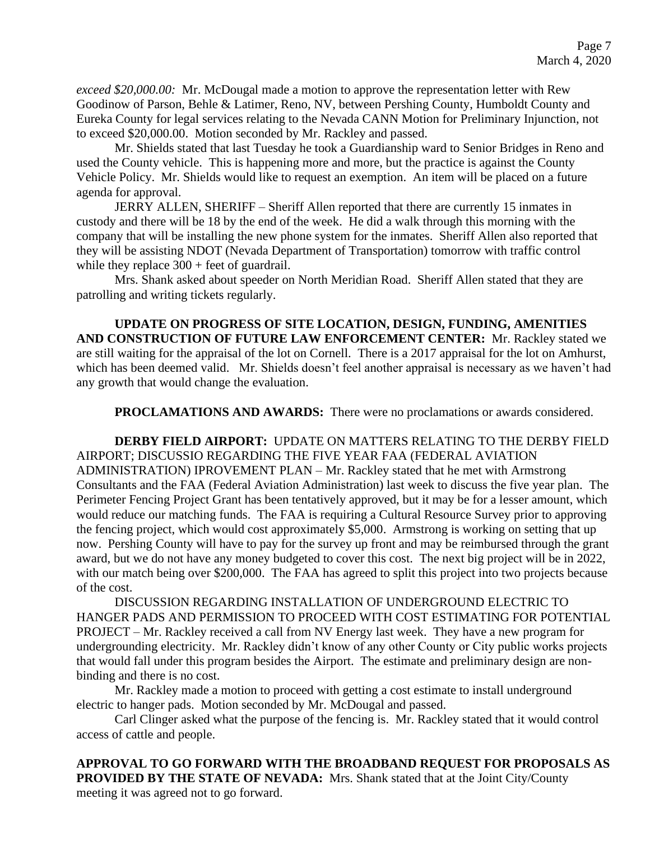*exceed \$20,000.00:* Mr. McDougal made a motion to approve the representation letter with Rew Goodinow of Parson, Behle & Latimer, Reno, NV, between Pershing County, Humboldt County and Eureka County for legal services relating to the Nevada CANN Motion for Preliminary Injunction, not to exceed \$20,000.00. Motion seconded by Mr. Rackley and passed.

Mr. Shields stated that last Tuesday he took a Guardianship ward to Senior Bridges in Reno and used the County vehicle. This is happening more and more, but the practice is against the County Vehicle Policy. Mr. Shields would like to request an exemption. An item will be placed on a future agenda for approval.

JERRY ALLEN, SHERIFF – Sheriff Allen reported that there are currently 15 inmates in custody and there will be 18 by the end of the week. He did a walk through this morning with the company that will be installing the new phone system for the inmates. Sheriff Allen also reported that they will be assisting NDOT (Nevada Department of Transportation) tomorrow with traffic control while they replace  $300 +$  feet of guardrail.

Mrs. Shank asked about speeder on North Meridian Road. Sheriff Allen stated that they are patrolling and writing tickets regularly.

**UPDATE ON PROGRESS OF SITE LOCATION, DESIGN, FUNDING, AMENITIES AND CONSTRUCTION OF FUTURE LAW ENFORCEMENT CENTER:** Mr. Rackley stated we are still waiting for the appraisal of the lot on Cornell. There is a 2017 appraisal for the lot on Amhurst, which has been deemed valid. Mr. Shields doesn't feel another appraisal is necessary as we haven't had any growth that would change the evaluation.

**PROCLAMATIONS AND AWARDS:** There were no proclamations or awards considered.

**DERBY FIELD AIRPORT:** UPDATE ON MATTERS RELATING TO THE DERBY FIELD AIRPORT; DISCUSSIO REGARDING THE FIVE YEAR FAA (FEDERAL AVIATION ADMINISTRATION) IPROVEMENT PLAN – Mr. Rackley stated that he met with Armstrong Consultants and the FAA (Federal Aviation Administration) last week to discuss the five year plan. The Perimeter Fencing Project Grant has been tentatively approved, but it may be for a lesser amount, which would reduce our matching funds. The FAA is requiring a Cultural Resource Survey prior to approving the fencing project, which would cost approximately \$5,000. Armstrong is working on setting that up now. Pershing County will have to pay for the survey up front and may be reimbursed through the grant award, but we do not have any money budgeted to cover this cost. The next big project will be in 2022, with our match being over \$200,000. The FAA has agreed to split this project into two projects because of the cost.

DISCUSSION REGARDING INSTALLATION OF UNDERGROUND ELECTRIC TO HANGER PADS AND PERMISSION TO PROCEED WITH COST ESTIMATING FOR POTENTIAL PROJECT – Mr. Rackley received a call from NV Energy last week. They have a new program for undergrounding electricity. Mr. Rackley didn't know of any other County or City public works projects that would fall under this program besides the Airport. The estimate and preliminary design are nonbinding and there is no cost.

Mr. Rackley made a motion to proceed with getting a cost estimate to install underground electric to hanger pads. Motion seconded by Mr. McDougal and passed.

Carl Clinger asked what the purpose of the fencing is. Mr. Rackley stated that it would control access of cattle and people.

**APPROVAL TO GO FORWARD WITH THE BROADBAND REQUEST FOR PROPOSALS AS PROVIDED BY THE STATE OF NEVADA:** Mrs. Shank stated that at the Joint City/County meeting it was agreed not to go forward.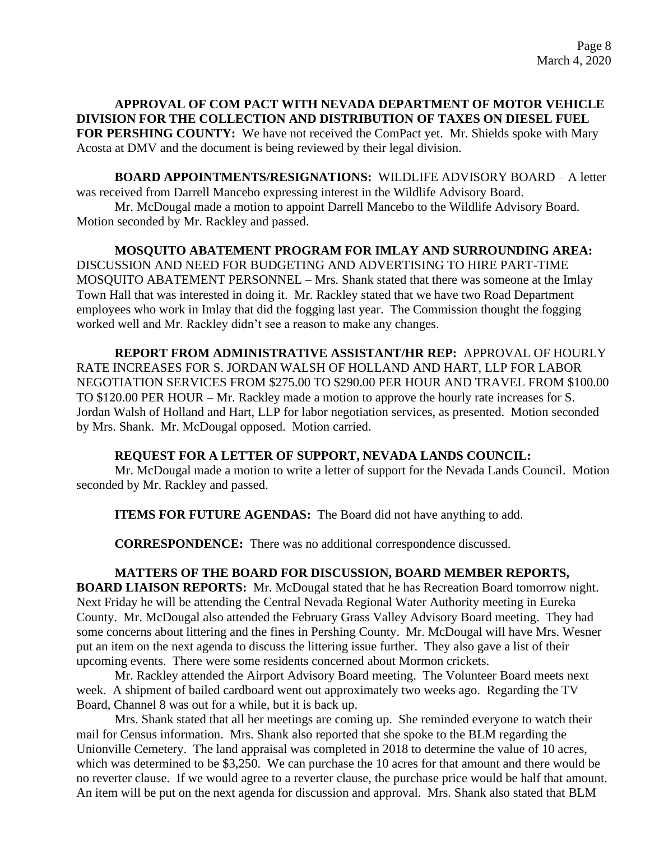## **APPROVAL OF COM PACT WITH NEVADA DEPARTMENT OF MOTOR VEHICLE DIVISION FOR THE COLLECTION AND DISTRIBUTION OF TAXES ON DIESEL FUEL FOR PERSHING COUNTY:** We have not received the ComPact yet. Mr. Shields spoke with Mary

**BOARD APPOINTMENTS/RESIGNATIONS:** WILDLIFE ADVISORY BOARD – A letter was received from Darrell Mancebo expressing interest in the Wildlife Advisory Board.

Mr. McDougal made a motion to appoint Darrell Mancebo to the Wildlife Advisory Board. Motion seconded by Mr. Rackley and passed.

Acosta at DMV and the document is being reviewed by their legal division.

## **MOSQUITO ABATEMENT PROGRAM FOR IMLAY AND SURROUNDING AREA:**  DISCUSSION AND NEED FOR BUDGETING AND ADVERTISING TO HIRE PART-TIME MOSQUITO ABATEMENT PERSONNEL – Mrs. Shank stated that there was someone at the Imlay Town Hall that was interested in doing it. Mr. Rackley stated that we have two Road Department employees who work in Imlay that did the fogging last year. The Commission thought the fogging worked well and Mr. Rackley didn't see a reason to make any changes.

**REPORT FROM ADMINISTRATIVE ASSISTANT/HR REP:** APPROVAL OF HOURLY RATE INCREASES FOR S. JORDAN WALSH OF HOLLAND AND HART, LLP FOR LABOR NEGOTIATION SERVICES FROM \$275.00 TO \$290.00 PER HOUR AND TRAVEL FROM \$100.00 TO \$120.00 PER HOUR – Mr. Rackley made a motion to approve the hourly rate increases for S. Jordan Walsh of Holland and Hart, LLP for labor negotiation services, as presented. Motion seconded by Mrs. Shank. Mr. McDougal opposed. Motion carried.

### **REQUEST FOR A LETTER OF SUPPORT, NEVADA LANDS COUNCIL:**

Mr. McDougal made a motion to write a letter of support for the Nevada Lands Council. Motion seconded by Mr. Rackley and passed.

**ITEMS FOR FUTURE AGENDAS:** The Board did not have anything to add.

**CORRESPONDENCE:** There was no additional correspondence discussed.

# **MATTERS OF THE BOARD FOR DISCUSSION, BOARD MEMBER REPORTS,**

**BOARD LIAISON REPORTS:** Mr. McDougal stated that he has Recreation Board tomorrow night. Next Friday he will be attending the Central Nevada Regional Water Authority meeting in Eureka County. Mr. McDougal also attended the February Grass Valley Advisory Board meeting. They had some concerns about littering and the fines in Pershing County. Mr. McDougal will have Mrs. Wesner put an item on the next agenda to discuss the littering issue further. They also gave a list of their upcoming events. There were some residents concerned about Mormon crickets.

Mr. Rackley attended the Airport Advisory Board meeting. The Volunteer Board meets next week. A shipment of bailed cardboard went out approximately two weeks ago. Regarding the TV Board, Channel 8 was out for a while, but it is back up.

Mrs. Shank stated that all her meetings are coming up. She reminded everyone to watch their mail for Census information. Mrs. Shank also reported that she spoke to the BLM regarding the Unionville Cemetery. The land appraisal was completed in 2018 to determine the value of 10 acres, which was determined to be \$3,250. We can purchase the 10 acres for that amount and there would be no reverter clause. If we would agree to a reverter clause, the purchase price would be half that amount. An item will be put on the next agenda for discussion and approval. Mrs. Shank also stated that BLM